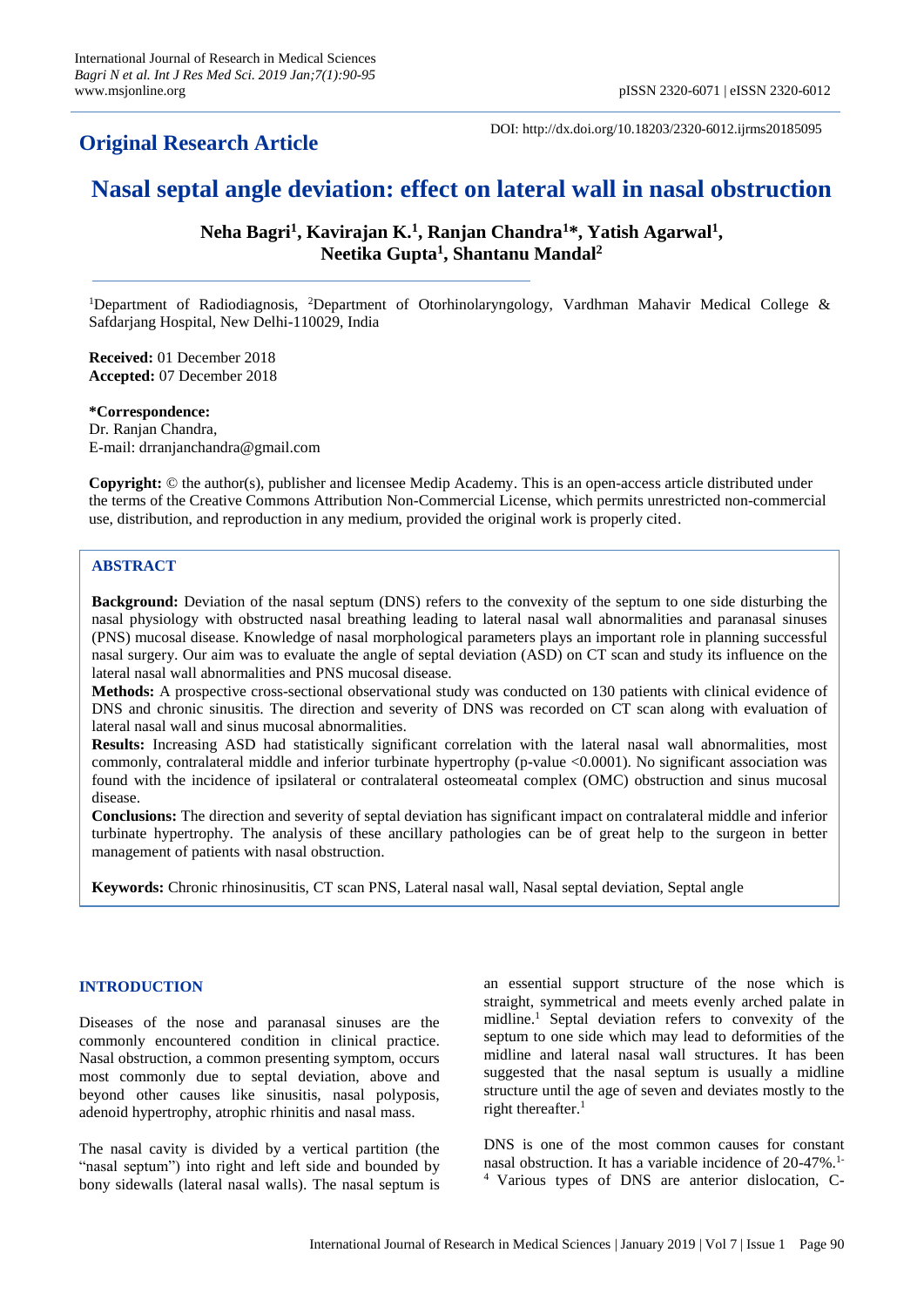## **Original Research Article**

DOI: http://dx.doi.org/10.18203/2320-6012.ijrms20185095

# **Nasal septal angle deviation: effect on lateral wall in nasal obstruction**

**Neha Bagri<sup>1</sup> , Kavirajan K. 1 , Ranjan Chandra<sup>1</sup>\*, Yatish Agarwal<sup>1</sup> , Neetika Gupta<sup>1</sup> , Shantanu Mandal<sup>2</sup>**

<sup>1</sup>Department of Radiodiagnosis, <sup>2</sup>Department of Otorhinolaryngology, Vardhman Mahavir Medical College & Safdarjang Hospital, New Delhi-110029, India

**Received:** 01 December 2018 **Accepted:** 07 December 2018

**\*Correspondence:**

Dr. Ranjan Chandra, E-mail: drranjanchandra@gmail.com

**Copyright:** © the author(s), publisher and licensee Medip Academy. This is an open-access article distributed under the terms of the Creative Commons Attribution Non-Commercial License, which permits unrestricted non-commercial use, distribution, and reproduction in any medium, provided the original work is properly cited.

## **ABSTRACT**

**Background:** Deviation of the nasal septum (DNS) refers to the convexity of the septum to one side disturbing the nasal physiology with obstructed nasal breathing leading to lateral nasal wall abnormalities and paranasal sinuses (PNS) mucosal disease. Knowledge of nasal morphological parameters plays an important role in planning successful nasal surgery. Our aim was to evaluate the angle of septal deviation (ASD) on CT scan and study its influence on the lateral nasal wall abnormalities and PNS mucosal disease.

**Methods:** A prospective cross-sectional observational study was conducted on 130 patients with clinical evidence of DNS and chronic sinusitis. The direction and severity of DNS was recorded on CT scan along with evaluation of lateral nasal wall and sinus mucosal abnormalities.

**Results:** Increasing ASD had statistically significant correlation with the lateral nasal wall abnormalities, most commonly, contralateral middle and inferior turbinate hypertrophy (p-value <0.0001). No significant association was found with the incidence of ipsilateral or contralateral osteomeatal complex (OMC) obstruction and sinus mucosal disease.

**Conclusions:** The direction and severity of septal deviation has significant impact on contralateral middle and inferior turbinate hypertrophy. The analysis of these ancillary pathologies can be of great help to the surgeon in better management of patients with nasal obstruction.

**Keywords:** Chronic rhinosinusitis, CT scan PNS, Lateral nasal wall, Nasal septal deviation, Septal angle

## **INTRODUCTION**

Diseases of the nose and paranasal sinuses are the commonly encountered condition in clinical practice. Nasal obstruction, a common presenting symptom, occurs most commonly due to septal deviation, above and beyond other causes like sinusitis, nasal polyposis, adenoid hypertrophy, atrophic rhinitis and nasal mass.

The nasal cavity is divided by a vertical partition (the "nasal septum") into right and left side and bounded by bony sidewalls (lateral nasal walls). The nasal septum is an essential support structure of the nose which is straight, symmetrical and meets evenly arched palate in midline. <sup>1</sup> Septal deviation refers to convexity of the septum to one side which may lead to deformities of the midline and lateral nasal wall structures. It has been suggested that the nasal septum is usually a midline structure until the age of seven and deviates mostly to the right thereafter. 1

DNS is one of the most common causes for constant nasal obstruction. It has a variable incidence of 20-47%. 1- <sup>4</sup> Various types of DNS are anterior dislocation, C-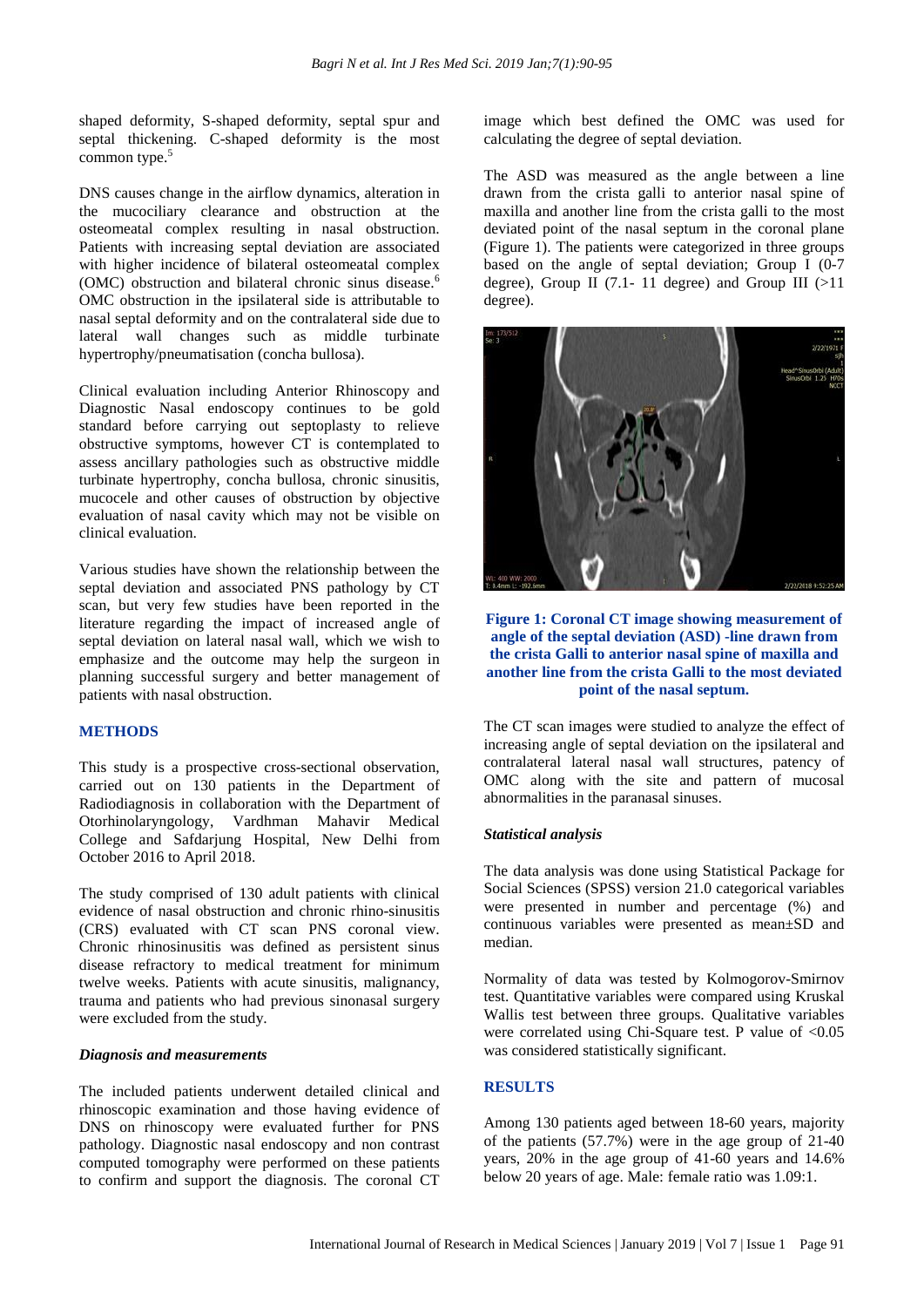shaped deformity, S-shaped deformity, septal spur and septal thickening. C-shaped deformity is the most common type. 5

DNS causes change in the airflow dynamics, alteration in the mucociliary clearance and obstruction at the osteomeatal complex resulting in nasal obstruction. Patients with increasing septal deviation are associated with higher incidence of bilateral osteomeatal complex (OMC) obstruction and bilateral chronic sinus disease. 6 OMC obstruction in the ipsilateral side is attributable to nasal septal deformity and on the contralateral side due to lateral wall changes such as middle turbinate hypertrophy/pneumatisation (concha bullosa).

Clinical evaluation including Anterior Rhinoscopy and Diagnostic Nasal endoscopy continues to be gold standard before carrying out septoplasty to relieve obstructive symptoms, however CT is contemplated to assess ancillary pathologies such as obstructive middle turbinate hypertrophy, concha bullosa, chronic sinusitis, mucocele and other causes of obstruction by objective evaluation of nasal cavity which may not be visible on clinical evaluation.

Various studies have shown the relationship between the septal deviation and associated PNS pathology by CT scan, but very few studies have been reported in the literature regarding the impact of increased angle of septal deviation on lateral nasal wall, which we wish to emphasize and the outcome may help the surgeon in planning successful surgery and better management of patients with nasal obstruction.

## **METHODS**

This study is a prospective cross-sectional observation, carried out on 130 patients in the Department of Radiodiagnosis in collaboration with the Department of Otorhinolaryngology, Vardhman Mahavir Medical College and Safdarjung Hospital, New Delhi from October 2016 to April 2018.

The study comprised of 130 adult patients with clinical evidence of nasal obstruction and chronic rhino-sinusitis (CRS) evaluated with CT scan PNS coronal view. Chronic rhinosinusitis was defined as persistent sinus disease refractory to medical treatment for minimum twelve weeks. Patients with acute sinusitis, malignancy, trauma and patients who had previous sinonasal surgery were excluded from the study.

#### *Diagnosis and measurements*

The included patients underwent detailed clinical and rhinoscopic examination and those having evidence of DNS on rhinoscopy were evaluated further for PNS pathology. Diagnostic nasal endoscopy and non contrast computed tomography were performed on these patients to confirm and support the diagnosis. The coronal CT image which best defined the OMC was used for calculating the degree of septal deviation.

The ASD was measured as the angle between a line drawn from the crista galli to anterior nasal spine of maxilla and another line from the crista galli to the most deviated point of the nasal septum in the coronal plane (Figure 1). The patients were categorized in three groups based on the angle of septal deviation; Group I (0-7 degree), Group II (7.1- 11 degree) and Group III  $(>11$ degree).



## **Figure 1: Coronal CT image showing measurement of angle of the septal deviation (ASD) -line drawn from the crista Galli to anterior nasal spine of maxilla and another line from the crista Galli to the most deviated point of the nasal septum.**

The CT scan images were studied to analyze the effect of increasing angle of septal deviation on the ipsilateral and contralateral lateral nasal wall structures, patency of OMC along with the site and pattern of mucosal abnormalities in the paranasal sinuses.

#### *Statistical analysis*

The data analysis was done using Statistical Package for Social Sciences (SPSS) version 21.0 categorical variables were presented in number and percentage (%) and continuous variables were presented as mean±SD and median.

Normality of data was tested by Kolmogorov-Smirnov test. Quantitative variables were compared using Kruskal Wallis test between three groups. Qualitative variables were correlated using Chi-Square test. P value of  $\langle 0.05 \rangle$ was considered statistically significant.

## **RESULTS**

Among 130 patients aged between 18-60 years, majority of the patients (57.7%) were in the age group of 21-40 years, 20% in the age group of 41-60 years and 14.6% below 20 years of age. Male: female ratio was 1.09:1.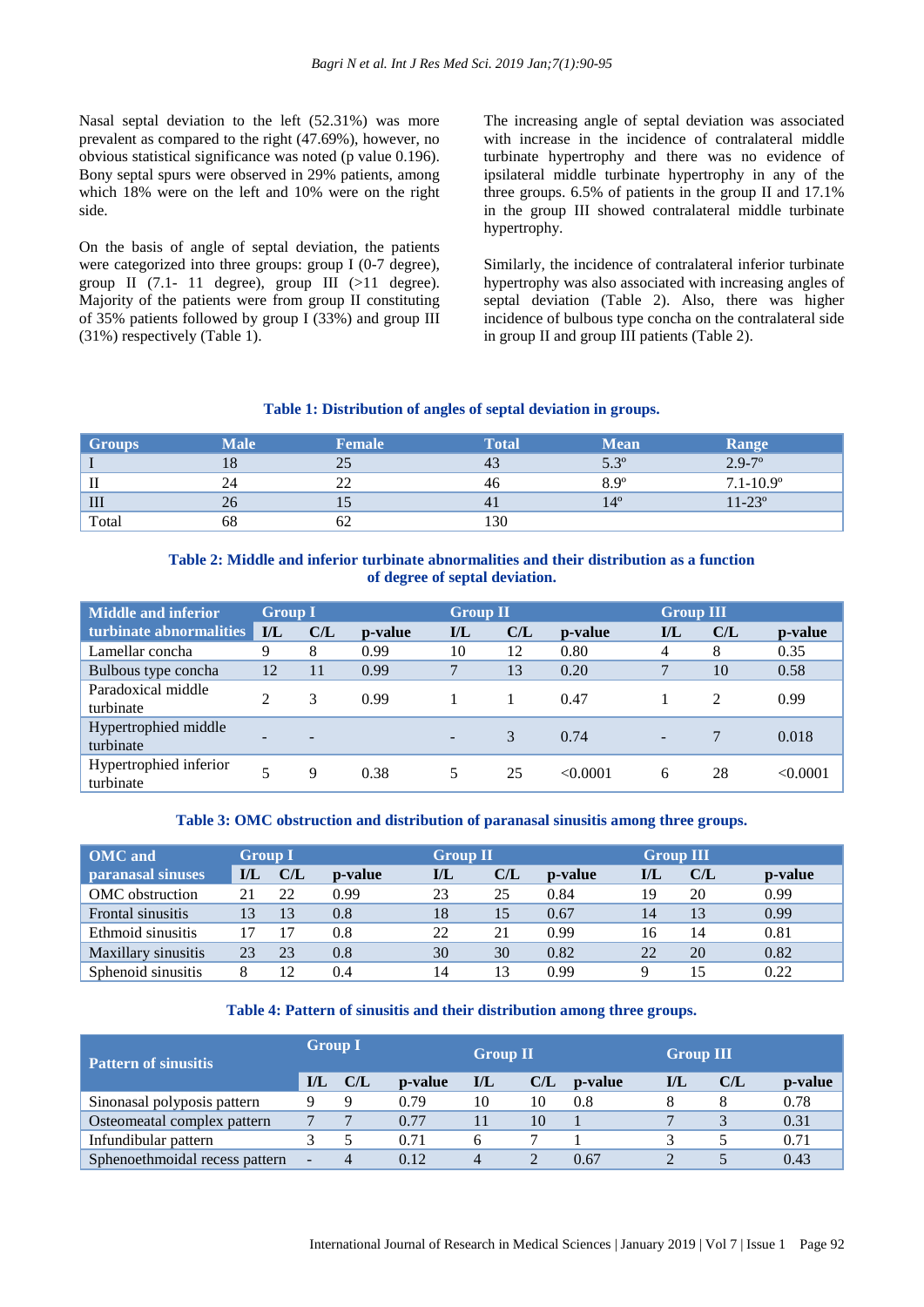Nasal septal deviation to the left (52.31%) was more prevalent as compared to the right (47.69%), however, no obvious statistical significance was noted (p value 0.196). Bony septal spurs were observed in 29% patients, among which 18% were on the left and 10% were on the right side.

On the basis of angle of septal deviation, the patients were categorized into three groups: group I (0-7 degree), group II  $(7.1-11)$  degree), group III  $(>11)$  degree). Majority of the patients were from group II constituting of 35% patients followed by group I (33%) and group III (31%) respectively (Table 1).

The increasing angle of septal deviation was associated with increase in the incidence of contralateral middle turbinate hypertrophy and there was no evidence of ipsilateral middle turbinate hypertrophy in any of the three groups. 6.5% of patients in the group II and 17.1% in the group III showed contralateral middle turbinate hypertrophy.

Similarly, the incidence of contralateral inferior turbinate hypertrophy was also associated with increasing angles of septal deviation (Table 2). Also, there was higher incidence of bulbous type concha on the contralateral side in group II and group III patients (Table 2).

## **Table 1: Distribution of angles of septal deviation in groups.**

| <b>Groups</b>      | <b>Male</b> | <b>Female</b> | Total          | <b>Mean</b> | <b>Range</b>      |
|--------------------|-------------|---------------|----------------|-------------|-------------------|
|                    | 18          | つち<br>ت       | 43             | $5.3^\circ$ | $2.9 - 7$ °       |
| $\mathbf{I}$       | 24          | ∠∠            | 46             | $8.9^\circ$ | $7.1 - 10.9$ °    |
| $\mathop{\rm III}$ | 26          | IJ            | 4 <sub>1</sub> | $14^\circ$  | $11 - 23^{\circ}$ |
| Total              | 68          | 62            | 130            |             |                   |

## **Table 2: Middle and inferior turbinate abnormalities and their distribution as a function of degree of septal deviation.**

| <b>Middle and inferior</b>          | <b>Group I</b> |                |         | <b>Group II</b>         |     |         | <b>Group III</b> |     |          |
|-------------------------------------|----------------|----------------|---------|-------------------------|-----|---------|------------------|-----|----------|
| turbinate abnormalities             | I/L            | C/L            | p-value | $\mathbf{I}/\mathbf{L}$ | C/L | p-value | $\mathbf{IL}$    | C/L | p-value  |
| Lamellar concha                     | 9              | 8              | 0.99    | 10                      | 12  | 0.80    |                  | 8   | 0.35     |
| Bulbous type concha                 | 12             | 11             | 0.99    | 7                       | 13  | 0.20    |                  | 10  | 0.58     |
| Paradoxical middle<br>turbinate     |                | 3              | 0.99    |                         |     | 0.47    |                  | 2   | 0.99     |
| Hypertrophied middle<br>turbinate   |                | $\overline{a}$ |         | $\blacksquare$          | 3   | 0.74    |                  |     | 0.018    |
| Hypertrophied inferior<br>turbinate |                | 9              | 0.38    |                         | 25  | <0.0001 | 6                | 28  | < 0.0001 |

**Table 3: OMC obstruction and distribution of paranasal sinusitis among three groups.**

| <b>OMC</b> and      | <b>Group I</b> |     |                 | <b>Group II</b> |     |                 |     | <b>Group III</b> |         |  |
|---------------------|----------------|-----|-----------------|-----------------|-----|-----------------|-----|------------------|---------|--|
| paranasal sinuses   | IJL            | C/L | <b>p</b> -value | $\mathbf{IL}$   | C/L | <b>p</b> -value | I/L | CL               | p-value |  |
| OMC obstruction     |                | 22  | 0.99            | 23              | 25  | 0.84            | 19  | 20               | 0.99    |  |
| Frontal sinusitis   | 13             | 13  | 0.8             | 18              | 15  | 0.67            | 14  | 13               | 0.99    |  |
| Ethmoid sinusitis   | 17             |     | 0.8             | 22              | 21  | 0.99            | 16  | 14               | 0.81    |  |
| Maxillary sinusitis | 23             | 23  | 0.8             | 30              | 30  | 0.82            | 22  | 20               | 0.82    |  |
| Sphenoid sinusitis  |                | 12  | 0.4             | 14              | 13  | 0.99            |     | 15               | 0.22    |  |

#### **Table 4: Pattern of sinusitis and their distribution among three groups.**

| <b>Pattern of sinusitis</b>    | <b>Group I</b>          |     |                 | <b>Group II</b> |     |                 | <b>Group III</b> |     |         |
|--------------------------------|-------------------------|-----|-----------------|-----------------|-----|-----------------|------------------|-----|---------|
|                                | $\mathbf{I}/\mathbf{L}$ | C/L | <b>p</b> -value | I/L             | C/L | <b>p</b> -value | I/L              | C/L | p-value |
| Sinonasal polyposis pattern    |                         | Q   | 0.79            | 10              | 10  | 0.8             |                  |     | 0.78    |
| Osteomeatal complex pattern    |                         |     | 0.77            |                 | 10  |                 |                  |     | 0.31    |
| Infundibular pattern           |                         |     | 0.71            | h               |     |                 |                  |     | 0.71    |
| Sphenoethmoidal recess pattern | ٠                       |     | 0.12            | $\overline{4}$  |     | 0.67            |                  |     | 0.43    |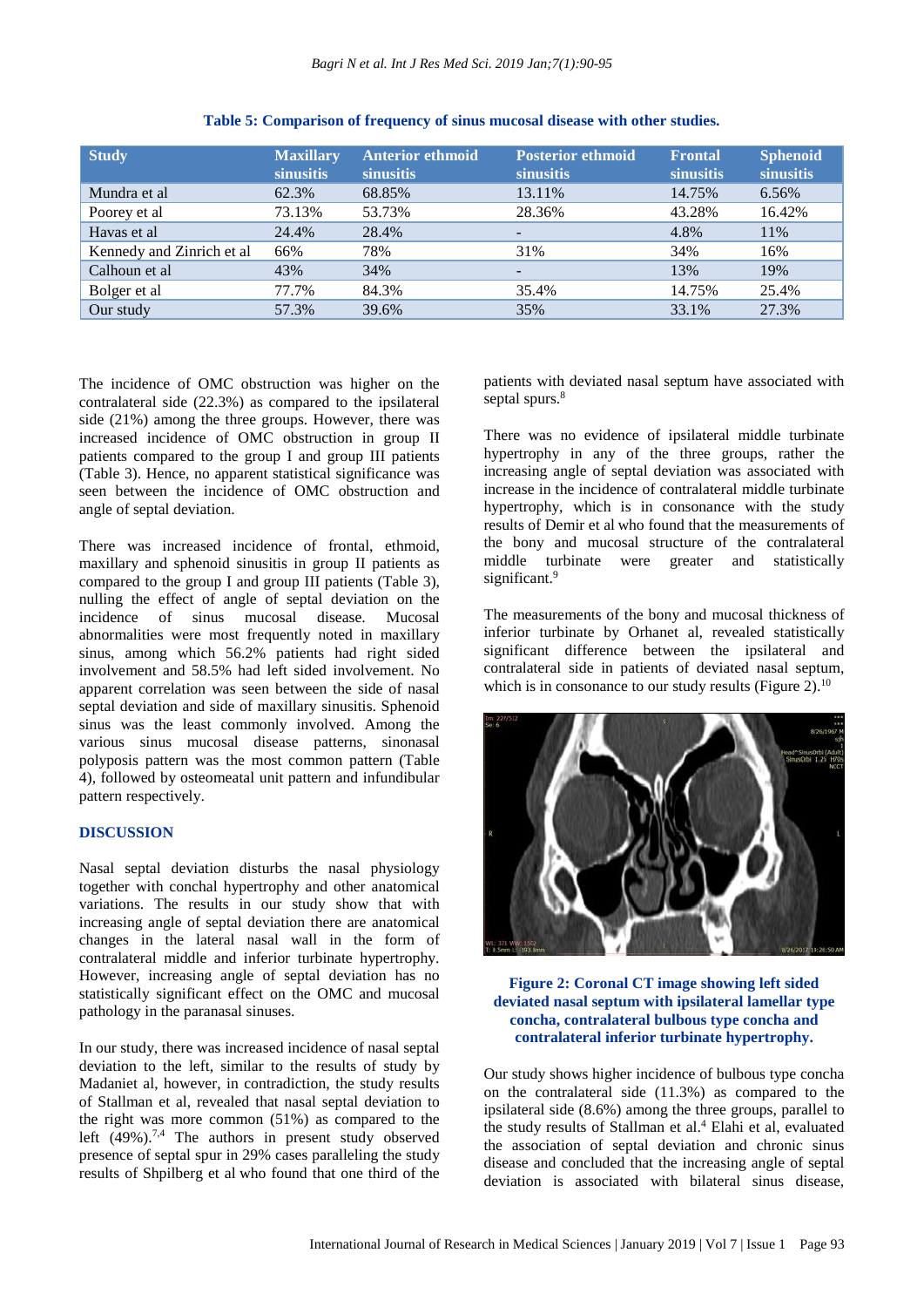| <b>Study</b>              | <b>Maxillary</b><br>sinusitis | <b>Anterior ethmoid</b><br><b>sinusitis</b> | <b>Posterior ethmoid</b><br><b>sinusitis</b> | <b>Frontal</b><br>sinusitis | <b>Sphenoid</b><br>sinusitis |
|---------------------------|-------------------------------|---------------------------------------------|----------------------------------------------|-----------------------------|------------------------------|
| Mundra et al              | 62.3%                         | 68.85%                                      | 13.11%                                       | 14.75%                      | 6.56%                        |
| Poorey et al              | 73.13%                        | 53.73%                                      | 28.36%                                       | 43.28%                      | 16.42%                       |
| Havas et al               | 24.4%                         | 28.4%                                       | -                                            | 4.8%                        | 11%                          |
| Kennedy and Zinrich et al | 66%                           | 78%                                         | 31%                                          | 34%                         | 16%                          |
| Calhoun et al             | 43%                           | 34%                                         | -                                            | 13%                         | 19%                          |
| Bolger et al              | 77.7%                         | 84.3%                                       | 35.4%                                        | 14.75%                      | 25.4%                        |
| Our study                 | 57.3%                         | 39.6%                                       | 35%                                          | 33.1%                       | 27.3%                        |

**Table 5: Comparison of frequency of sinus mucosal disease with other studies.**

The incidence of OMC obstruction was higher on the contralateral side (22.3%) as compared to the ipsilateral side (21%) among the three groups. However, there was increased incidence of OMC obstruction in group II patients compared to the group I and group III patients (Table 3). Hence, no apparent statistical significance was seen between the incidence of OMC obstruction and angle of septal deviation.

There was increased incidence of frontal, ethmoid, maxillary and sphenoid sinusitis in group II patients as compared to the group I and group III patients (Table 3), nulling the effect of angle of septal deviation on the incidence of sinus mucosal disease. Mucosal abnormalities were most frequently noted in maxillary sinus, among which 56.2% patients had right sided involvement and 58.5% had left sided involvement. No apparent correlation was seen between the side of nasal septal deviation and side of maxillary sinusitis. Sphenoid sinus was the least commonly involved. Among the various sinus mucosal disease patterns, sinonasal polyposis pattern was the most common pattern (Table 4), followed by osteomeatal unit pattern and infundibular pattern respectively.

## **DISCUSSION**

Nasal septal deviation disturbs the nasal physiology together with conchal hypertrophy and other anatomical variations. The results in our study show that with increasing angle of septal deviation there are anatomical changes in the lateral nasal wall in the form of contralateral middle and inferior turbinate hypertrophy. However, increasing angle of septal deviation has no statistically significant effect on the OMC and mucosal pathology in the paranasal sinuses.

In our study, there was increased incidence of nasal septal deviation to the left, similar to the results of study by Madaniet al, however, in contradiction, the study results of Stallman et al, revealed that nasal septal deviation to the right was more common (51%) as compared to the left  $(49\%)$ .<sup>7,4</sup> The authors in present study observed presence of septal spur in 29% cases paralleling the study results of Shpilberg et al who found that one third of the patients with deviated nasal septum have associated with septal spurs.<sup>8</sup>

There was no evidence of ipsilateral middle turbinate hypertrophy in any of the three groups, rather the increasing angle of septal deviation was associated with increase in the incidence of contralateral middle turbinate hypertrophy, which is in consonance with the study results of Demir et al who found that the measurements of the bony and mucosal structure of the contralateral middle turbinate were greater and statistically significant.<sup>9</sup>

The measurements of the bony and mucosal thickness of inferior turbinate by Orhanet al, revealed statistically significant difference between the ipsilateral and contralateral side in patients of deviated nasal septum, which is in consonance to our study results (Figure 2).<sup>10</sup>



**Figure 2: Coronal CT image showing left sided deviated nasal septum with ipsilateral lamellar type concha, contralateral bulbous type concha and contralateral inferior turbinate hypertrophy.**

Our study shows higher incidence of bulbous type concha on the contralateral side (11.3%) as compared to the ipsilateral side (8.6%) among the three groups, parallel to the study results of Stallman et al.<sup>4</sup> Elahi et al, evaluated the association of septal deviation and chronic sinus disease and concluded that the increasing angle of septal deviation is associated with bilateral sinus disease,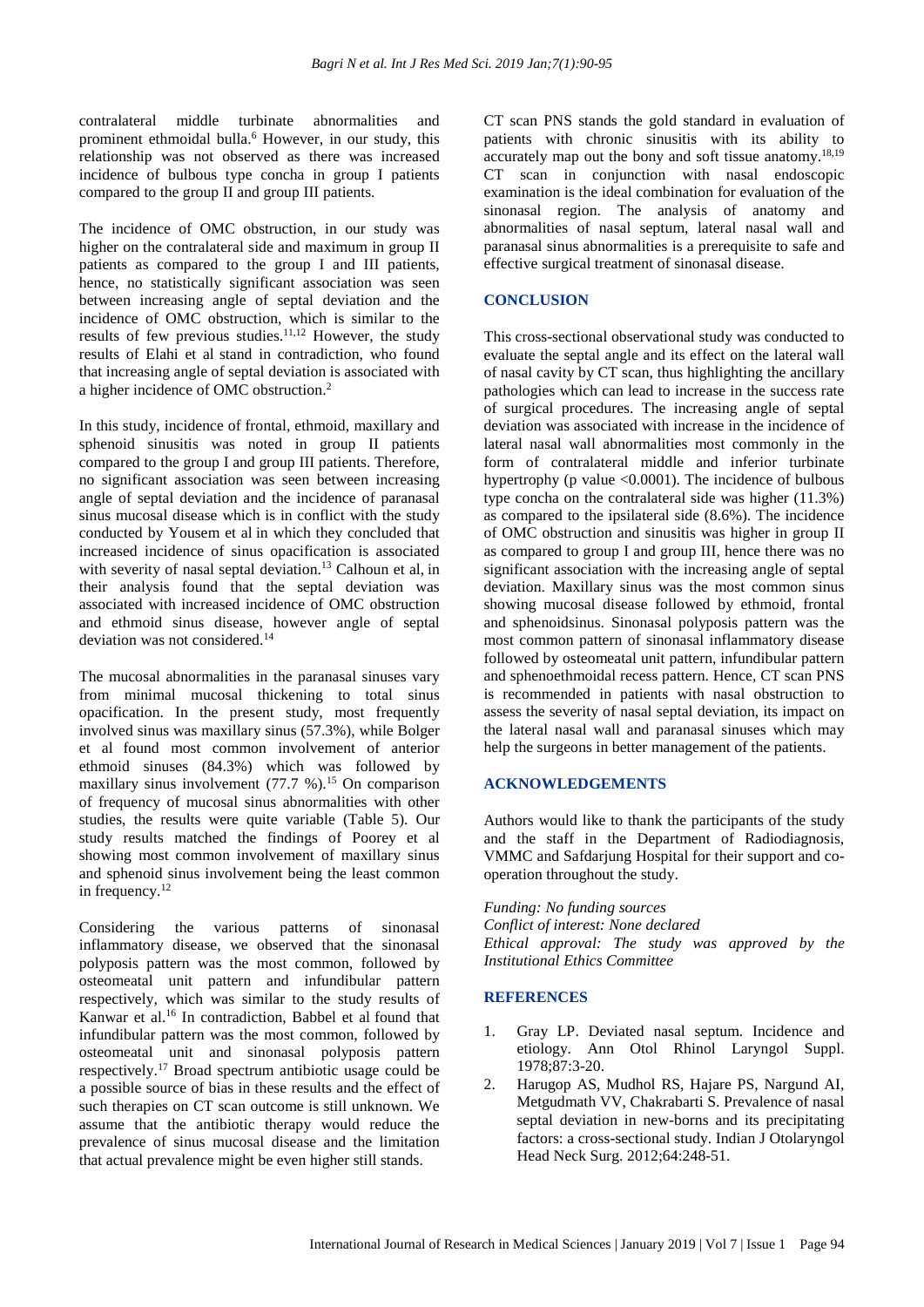contralateral middle turbinate abnormalities and prominent ethmoidal bulla.<sup>6</sup> However, in our study, this relationship was not observed as there was increased incidence of bulbous type concha in group I patients compared to the group II and group III patients.

The incidence of OMC obstruction, in our study was higher on the contralateral side and maximum in group II patients as compared to the group I and III patients, hence, no statistically significant association was seen between increasing angle of septal deviation and the incidence of OMC obstruction, which is similar to the results of few previous studies.11,12 However, the study results of Elahi et al stand in contradiction, who found that increasing angle of septal deviation is associated with a higher incidence of OMC obstruction.<sup>2</sup>

In this study, incidence of frontal, ethmoid, maxillary and sphenoid sinusitis was noted in group II patients compared to the group I and group III patients. Therefore, no significant association was seen between increasing angle of septal deviation and the incidence of paranasal sinus mucosal disease which is in conflict with the study conducted by Yousem et al in which they concluded that increased incidence of sinus opacification is associated with severity of nasal septal deviation.<sup>13</sup> Calhoun et al, in their analysis found that the septal deviation was associated with increased incidence of OMC obstruction and ethmoid sinus disease, however angle of septal deviation was not considered.<sup>14</sup>

The mucosal abnormalities in the paranasal sinuses vary from minimal mucosal thickening to total sinus opacification. In the present study, most frequently involved sinus was maxillary sinus (57.3%), while Bolger et al found most common involvement of anterior ethmoid sinuses (84.3%) which was followed by maxillary sinus involvement  $(77.7 \%)$ .<sup>15</sup> On comparison of frequency of mucosal sinus abnormalities with other studies, the results were quite variable (Table 5). Our study results matched the findings of Poorey et al showing most common involvement of maxillary sinus and sphenoid sinus involvement being the least common in frequency.<sup>12</sup>

Considering the various patterns of sinonasal inflammatory disease, we observed that the sinonasal polyposis pattern was the most common, followed by osteomeatal unit pattern and infundibular pattern respectively, which was similar to the study results of Kanwar et al. <sup>16</sup> In contradiction, Babbel et al found that infundibular pattern was the most common, followed by osteomeatal unit and sinonasal polyposis pattern respectively.<sup>17</sup> Broad spectrum antibiotic usage could be a possible source of bias in these results and the effect of such therapies on CT scan outcome is still unknown. We assume that the antibiotic therapy would reduce the prevalence of sinus mucosal disease and the limitation that actual prevalence might be even higher still stands.

CT scan PNS stands the gold standard in evaluation of patients with chronic sinusitis with its ability to accurately map out the bony and soft tissue anatomy.18,19 CT scan in conjunction with nasal endoscopic examination is the ideal combination for evaluation of the sinonasal region. The analysis of anatomy and abnormalities of nasal septum, lateral nasal wall and paranasal sinus abnormalities is a prerequisite to safe and effective surgical treatment of sinonasal disease.

#### **CONCLUSION**

This cross-sectional observational study was conducted to evaluate the septal angle and its effect on the lateral wall of nasal cavity by CT scan, thus highlighting the ancillary pathologies which can lead to increase in the success rate of surgical procedures. The increasing angle of septal deviation was associated with increase in the incidence of lateral nasal wall abnormalities most commonly in the form of contralateral middle and inferior turbinate hypertrophy (p value  $\leq 0.0001$ ). The incidence of bulbous type concha on the contralateral side was higher (11.3%) as compared to the ipsilateral side (8.6%). The incidence of OMC obstruction and sinusitis was higher in group II as compared to group I and group III, hence there was no significant association with the increasing angle of septal deviation. Maxillary sinus was the most common sinus showing mucosal disease followed by ethmoid, frontal and sphenoidsinus. Sinonasal polyposis pattern was the most common pattern of sinonasal inflammatory disease followed by osteomeatal unit pattern, infundibular pattern and sphenoethmoidal recess pattern. Hence, CT scan PNS is recommended in patients with nasal obstruction to assess the severity of nasal septal deviation, its impact on the lateral nasal wall and paranasal sinuses which may help the surgeons in better management of the patients.

#### **ACKNOWLEDGEMENTS**

Authors would like to thank the participants of the study and the staff in the Department of Radiodiagnosis, VMMC and Safdarjung Hospital for their support and cooperation throughout the study.

*Funding: No funding sources Conflict of interest: None declared Ethical approval: The study was approved by the Institutional Ethics Committee*

#### **REFERENCES**

- 1. Gray LP. Deviated nasal septum. Incidence and etiology. Ann Otol Rhinol Laryngol Suppl. 1978;87:3-20.
- 2. Harugop AS, Mudhol RS, Hajare PS, Nargund AI, Metgudmath VV, Chakrabarti S. Prevalence of nasal septal deviation in new-borns and its precipitating factors: a cross-sectional study. Indian J Otolaryngol Head Neck Surg. 2012;64:248-51.